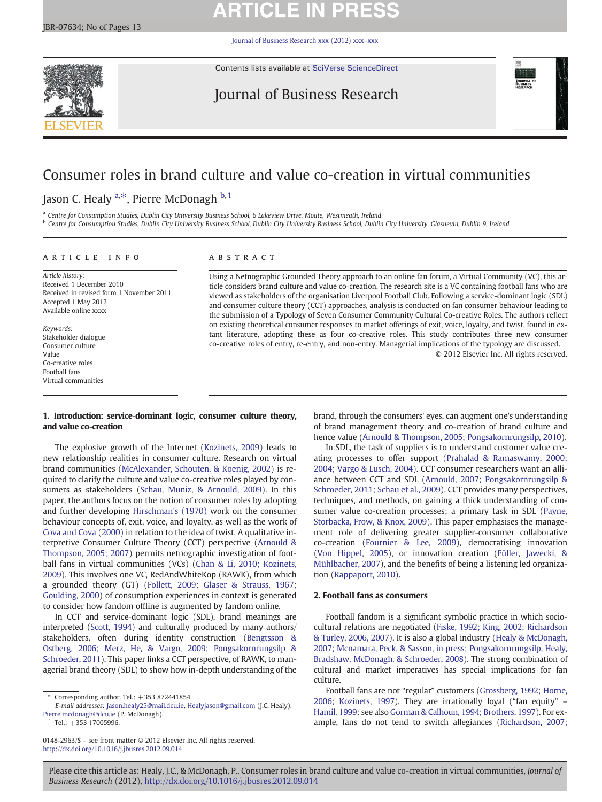# **ARTICLE IN PRESS**

[Journal of Business Research xxx \(2012\) xxx](http://dx.doi.org/10.1016/j.jbusres.2012.09.014)–xxx



Contents lists available at [SciVerse ScienceDirect](http://www.sciencedirect.com/science/journal/01482963)

## Journal of Business Research



## Consumer roles in brand culture and value co-creation in virtual communities

Jason C. Healy <sup>a, $\ast$ </sup>, Pierre McDonagh <sup>b, 1</sup>

a Centre for Consumption Studies, Dublin City University Business School, 6 Lakeview Drive, Moate, Westmeath, Ireland

b Centre for Consumption Studies, Dublin City University Business School, Dublin City University Business School, Dublin City University, Glasnevin, Dublin 9, Ireland

### article info abstract

Article history: Received 1 December 2010 Received in revised form 1 November 2011 Accepted 1 May 2012 Available online xxxx

Keywords: Stakeholder dialogue Consumer culture Value Co-creative roles Football fans Virtual communities

Using a Netnographic Grounded Theory approach to an online fan forum, a Virtual Community (VC), this article considers brand culture and value co-creation. The research site is a VC containing football fans who are viewed as stakeholders of the organisation Liverpool Football Club. Following a service-dominant logic (SDL) and consumer culture theory (CCT) approaches, analysis is conducted on fan consumer behaviour leading to the submission of a Typology of Seven Consumer Community Cultural Co-creative Roles. The authors reflect on existing theoretical consumer responses to market offerings of exit, voice, loyalty, and twist, found in extant literature, adopting these as four co-creative roles. This study contributes three new consumer co-creative roles of entry, re-entry, and non-entry. Managerial implications of the typology are discussed. © 2012 Elsevier Inc. All rights reserved.

### 1. Introduction: service‐dominant logic, consumer culture theory, and value co-creation

The explosive growth of the Internet ([Kozinets, 2009\)](#page--1-0) leads to new relationship realities in consumer culture. Research on virtual brand communities ([McAlexander, Schouten, & Koenig, 2002\)](#page--1-0) is required to clarify the culture and value co-creative roles played by consumers as stakeholders ([Schau, Muniz, & Arnould, 2009](#page--1-0)). In this paper, the authors focus on the notion of consumer roles by adopting and further developing [Hirschman's \(1970\)](#page--1-0) work on the consumer behaviour concepts of, exit, voice, and loyalty, as well as the work of [Cova and Cova \(2000\)](#page--1-0) in relation to the idea of twist. A qualitative interpretive Consumer Culture Theory (CCT) perspective [\(Arnould &](#page--1-0) [Thompson, 2005; 2007\)](#page--1-0) permits netnographic investigation of football fans in virtual communities (VCs) ([Chan & Li, 2010; Kozinets,](#page--1-0) [2009\)](#page--1-0). This involves one VC, RedAndWhiteKop (RAWK), from which a grounded theory (GT) ([Follett, 2009; Glaser & Strauss, 1967;](#page--1-0) [Goulding, 2000](#page--1-0)) of consumption experiences in context is generated to consider how fandom offline is augmented by fandom online.

In CCT and service-dominant logic (SDL), brand meanings are interpreted ([Scott, 1994](#page--1-0)) and culturally produced by many authors/ stakeholders, often during identity construction [\(Bengtsson &](#page--1-0) [Ostberg, 2006; Merz, He, & Vargo, 2009; Pongsakornrungsilp &](#page--1-0) [Schroeder, 2011\)](#page--1-0). This paper links a CCT perspective, of RAWK, to managerial brand theory (SDL) to show how in-depth understanding of the

Tel.: +353 17005996.

brand, through the consumers' eyes, can augment one's understanding of brand management theory and co-creation of brand culture and hence value [\(Arnould & Thompson, 2005; Pongsakornrungsilp, 2010](#page--1-0)).

In SDL, the task of suppliers is to understand customer value creating processes to offer support [\(Prahalad & Ramaswamy, 2000;](#page--1-0) [2004; Vargo & Lusch, 2004\)](#page--1-0). CCT consumer researchers want an alliance between CCT and SDL ([Arnould, 2007; Pongsakornrungsilp &](#page--1-0) [Schroeder, 2011; Schau et al., 2009\)](#page--1-0). CCT provides many perspectives, techniques, and methods, on gaining a thick understanding of consumer value co-creation processes; a primary task in SDL ([Payne,](#page--1-0) [Storbacka, Frow, & Knox, 2009](#page--1-0)). This paper emphasises the management role of delivering greater supplier-consumer collaborative co-creation [\(Fournier & Lee, 2009](#page--1-0)), democratising innovation [\(Von Hippel, 2005](#page--1-0)), or innovation creation [\(Füller, Jawecki, &](#page--1-0) [Mühlbacher, 2007](#page--1-0)), and the benefits of being a listening led organization ([Rappaport, 2010](#page--1-0)).

### 2. Football fans as consumers

Football fandom is a significant symbolic practice in which sociocultural relations are negotiated [\(Fiske, 1992; King, 2002; Richardson](#page--1-0) [& Turley, 2006, 2007](#page--1-0)). It is also a global industry ([Healy & McDonagh,](#page--1-0) [2007; Mcnamara, Peck, & Sasson, in press; Pongsakornrungsilp, Healy,](#page--1-0) [Bradshaw, McDonagh, & Schroeder, 2008\)](#page--1-0). The strong combination of cultural and market imperatives has special implications for fan culture.

Football fans are not "regular" customers [\(Grossberg, 1992; Horne,](#page--1-0) [2006; Kozinets, 1997](#page--1-0)). They are irrationally loyal ("fan equity" – [Hamil, 1999](#page--1-0); see also [Gorman & Calhoun, 1994; Brothers, 1997](#page--1-0)). For example, fans do not tend to switch allegiances [\(Richardson, 2007;](#page--1-0)

Please cite this article as: Healy, J.C., & McDonagh, P., Consumer roles in brand culture and value co-creation in virtual communities, Journal of Business Research (2012), <http://dx.doi.org/10.1016/j.jbusres.2012.09.014>

<sup>⁎</sup> Corresponding author. Tel.: +353 872441854.

E-mail addresses: [Jason.healy25@mail.dcu.ie](mailto:Jason.healy25@mail.dcu.ie), [Healyjason@gmail.com](mailto:Healyjason@gmail.com) (J.C. Healy), [Pierre.mcdonagh@dcu.ie](mailto:Pierre.mcdonagh@dcu.ie) (P. McDonagh).

<sup>0148-2963/\$</sup> – see front matter © 2012 Elsevier Inc. All rights reserved. <http://dx.doi.org/10.1016/j.jbusres.2012.09.014>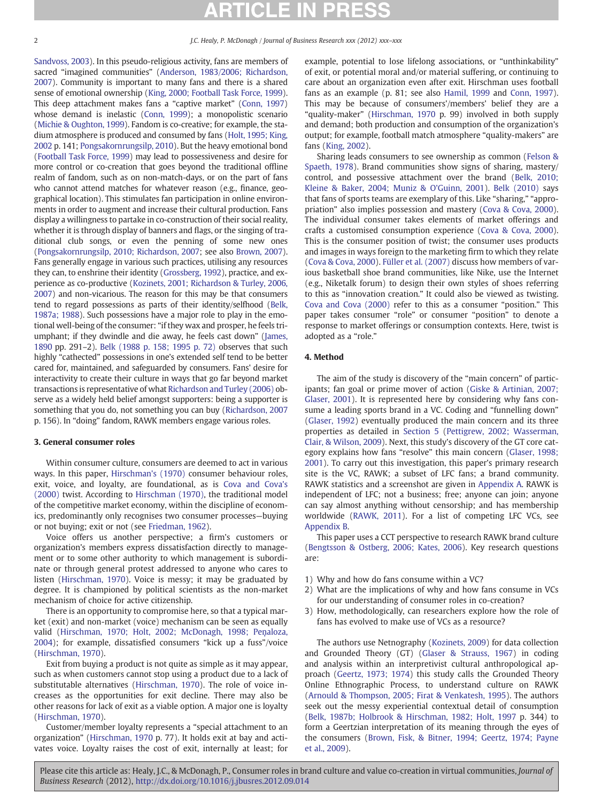### 2 J.C. Healy, P. McDonagh / Journal of Business Research xxx (2012) xxx–xxx

[Sandvoss, 2003](#page--1-0)). In this pseudo-religious activity, fans are members of sacred "imagined communities" [\(Anderson, 1983/2006; Richardson,](#page--1-0) [2007\)](#page--1-0). Community is important to many fans and there is a shared sense of emotional ownership ([King, 2000; Football Task Force, 1999\)](#page--1-0). This deep attachment makes fans a "captive market" [\(Conn, 1997](#page--1-0)) whose demand is inelastic ([Conn, 1999](#page--1-0)); a monopolistic scenario [\(Michie & Oughton, 1999\)](#page--1-0). Fandom is co-creative; for example, the stadium atmosphere is produced and consumed by fans ([Holt, 1995; King,](#page--1-0) [2002](#page--1-0) p. 141; [Pongsakornrungsilp, 2010\)](#page--1-0). But the heavy emotional bond [\(Football Task Force, 1999](#page--1-0)) may lead to possessiveness and desire for more control or co-creation that goes beyond the traditional offline realm of fandom, such as on non-match-days, or on the part of fans who cannot attend matches for whatever reason (e.g., finance, geographical location). This stimulates fan participation in online environments in order to augment and increase their cultural production. Fans display a willingness to partake in co-construction of their social reality, whether it is through display of banners and flags, or the singing of traditional club songs, or even the penning of some new ones [\(Pongsakornrungsilp, 2010; Richardson, 2007](#page--1-0); see also [Brown, 2007\)](#page--1-0). Fans generally engage in various such practices, utilising any resources they can, to enshrine their identity ([Grossberg, 1992\)](#page--1-0), practice, and experience as co-productive ([Kozinets, 2001; Richardson & Turley, 2006,](#page--1-0) [2007\)](#page--1-0) and non-vicarious. The reason for this may be that consumers tend to regard possessions as parts of their identity/selfhood ([Belk,](#page--1-0) [1987a; 1988\)](#page--1-0). Such possessions have a major role to play in the emotional well-being of the consumer: "if they wax and prosper, he feels triumphant; if they dwindle and die away, he feels cast down" [\(James,](#page--1-0) [1890](#page--1-0) pp. 291–2). [Belk \(1988 p. 158; 1995 p. 72\)](#page--1-0) observes that such highly "cathected" possessions in one's extended self tend to be better cared for, maintained, and safeguarded by consumers. Fans' desire for interactivity to create their culture in ways that go far beyond market transactions is representative of what [Richardson and Turley \(2006\)](#page--1-0) observe as a widely held belief amongst supporters: being a supporter is something that you do, not something you can buy [\(Richardson, 2007](#page--1-0) p. 156). In "doing" fandom, RAWK members engage various roles.

#### 3. General consumer roles

Within consumer culture, consumers are deemed to act in various ways. In this paper, [Hirschman's \(1970\)](#page--1-0) consumer behaviour roles, exit, voice, and loyalty, are foundational, as is [Cova and Cova's](#page--1-0) [\(2000\)](#page--1-0) twist. According to [Hirschman \(1970\),](#page--1-0) the traditional model of the competitive market economy, within the discipline of economics, predominantly only recognises two consumer processes—buying or not buying; exit or not (see [Friedman, 1962\)](#page--1-0).

Voice offers us another perspective; a firm's customers or organization's members express dissatisfaction directly to management or to some other authority to which management is subordinate or through general protest addressed to anyone who cares to listen ([Hirschman, 1970](#page--1-0)). Voice is messy; it may be graduated by degree. It is championed by political scientists as the non-market mechanism of choice for active citizenship.

There is an opportunity to compromise here, so that a typical market (exit) and non-market (voice) mechanism can be seen as equally valid ([Hirschman, 1970; Holt, 2002; McDonagh, 1998; Pe](#page--1-0)ņaloza, [2004\)](#page--1-0); for example, dissatisfied consumers "kick up a fuss"/voice [\(Hirschman, 1970](#page--1-0)).

Exit from buying a product is not quite as simple as it may appear, such as when customers cannot stop using a product due to a lack of substitutable alternatives [\(Hirschman, 1970](#page--1-0)). The role of voice increases as the opportunities for exit decline. There may also be other reasons for lack of exit as a viable option. A major one is loyalty [\(Hirschman, 1970](#page--1-0)).

Customer/member loyalty represents a "special attachment to an organization" ([Hirschman, 1970](#page--1-0) p. 77). It holds exit at bay and activates voice. Loyalty raises the cost of exit, internally at least; for example, potential to lose lifelong associations, or "unthinkability" of exit, or potential moral and/or material suffering, or continuing to care about an organization even after exit. Hirschman uses football fans as an example (p. 81; see also [Hamil, 1999](#page--1-0) and [Conn, 1997](#page--1-0)). This may be because of consumers'/members' belief they are a "quality-maker" [\(Hirschman, 1970](#page--1-0) p. 99) involved in both supply and demand; both production and consumption of the organization's output; for example, football match atmosphere "quality-makers" are fans ([King, 2002\)](#page--1-0).

Sharing leads consumers to see ownership as common [\(Felson &](#page--1-0) [Spaeth, 1978\)](#page--1-0). Brand communities show signs of sharing, mastery/ control, and possessive attachment over the brand ([Belk, 2010;](#page--1-0) [Kleine & Baker, 2004; Muniz & O'Guinn, 2001](#page--1-0)). [Belk \(2010\)](#page--1-0) says that fans of sports teams are exemplary of this. Like "sharing," "appropriation" also implies possession and mastery ([Cova & Cova, 2000](#page--1-0)). The individual consumer takes elements of market offerings and crafts a customised consumption experience ([Cova & Cova, 2000](#page--1-0)). This is the consumer position of twist; the consumer uses products and images in ways foreign to the marketing firm to which they relate [\(Cova & Cova, 2000](#page--1-0)). [Füller et al. \(2007\)](#page--1-0) discuss how members of various basketball shoe brand communities, like Nike, use the Internet (e.g., Niketalk forum) to design their own styles of shoes referring to this as "innovation creation." It could also be viewed as twisting. [Cova and Cova \(2000\)](#page--1-0) refer to this as a consumer "position." This paper takes consumer "role" or consumer "position" to denote a response to market offerings or consumption contexts. Here, twist is adopted as a "role."

#### 4. Method

The aim of the study is discovery of the "main concern" of participants; fan goal or prime mover of action [\(Giske & Artinian, 2007;](#page--1-0) [Glaser, 2001\)](#page--1-0). It is represented here by considering why fans consume a leading sports brand in a VC. Coding and "funnelling down" [\(Glaser, 1992](#page--1-0)) eventually produced the main concern and its three properties as detailed in [Section 5](#page--1-0) [\(Pettigrew, 2002; Wasserman,](#page--1-0) [Clair, & Wilson, 2009\)](#page--1-0). Next, this study's discovery of the GT core category explains how fans "resolve" this main concern [\(Glaser, 1998;](#page--1-0) [2001\)](#page--1-0). To carry out this investigation, this paper's primary research site is the VC, RAWK; a subset of LFC fans; a brand community. RAWK statistics and a screenshot are given in Appendix A. RAWK is independent of LFC; not a business; free; anyone can join; anyone can say almost anything without censorship; and has membership worldwide [\(RAWK, 2011\)](#page--1-0). For a list of competing LFC VCs, see [Appendix B.](#page--1-0)

This paper uses a CCT perspective to research RAWK brand culture [\(Bengtsson & Ostberg, 2006; Kates, 2006](#page--1-0)). Key research questions are:

- 1) Why and how do fans consume within a VC?
- 2) What are the implications of why and how fans consume in VCs for our understanding of consumer roles in co-creation?
- 3) How, methodologically, can researchers explore how the role of fans has evolved to make use of VCs as a resource?

The authors use Netnography ([Kozinets, 2009](#page--1-0)) for data collection and Grounded Theory (GT) ([Glaser & Strauss, 1967\)](#page--1-0) in coding and analysis within an interpretivist cultural anthropological approach ([Geertz, 1973; 1974](#page--1-0)) this study calls the Grounded Theory Online Ethnographic Process, to understand culture on RAWK [\(Arnould & Thompson, 2005; Firat & Venkatesh, 1995\)](#page--1-0). The authors seek out the messy experiential contextual detail of consumption [\(Belk, 1987b; Holbrook & Hirschman, 1982; Holt, 1997](#page--1-0) p. 344) to form a Geertzian interpretation of its meaning through the eyes of the consumers [\(Brown, Fisk, & Bitner, 1994; Geertz, 1974; Payne](#page--1-0) [et al., 2009\)](#page--1-0).

Please cite this article as: Healy, J.C., & McDonagh, P., Consumer roles in brand culture and value co-creation in virtual communities, Journal of Business Research (2012), <http://dx.doi.org/10.1016/j.jbusres.2012.09.014>